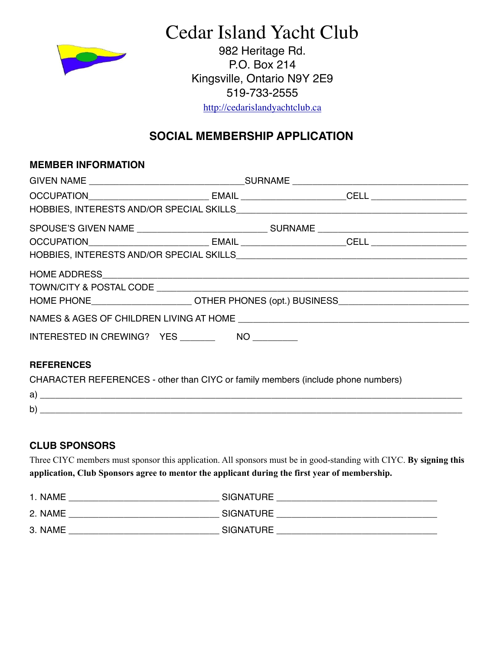

Cedar Island Yacht Club

982 Heritage Rd. P.O. Box 214 Kingsville, Ontario N9Y 2E9 519-733-2555

<http://cedarislandyachtclub.ca>

# **SOCIAL MEMBERSHIP APPLICATION**

#### **MEMBER INFORMATION**

| INTERESTED IN CREWING? YES NO |  |  |  |  |  |
|-------------------------------|--|--|--|--|--|
| <b>REFERENCES</b>             |  |  |  |  |  |

CHARACTER REFERENCES - other than CIYC or family members (include phone numbers)

| a              |  |
|----------------|--|
| . .<br>h.<br>ັ |  |

### **CLUB SPONSORS**

Three CIYC members must sponsor this application. All sponsors must be in good-standing with CIYC. **By signing this application, Club Sponsors agree to mentor the applicant during the first year of membership.** 

| 1. NAME | <b>SIGNATURE</b> |
|---------|------------------|
| 2. NAME | <b>SIGNATURE</b> |
| 3. NAME | <b>SIGNATURE</b> |